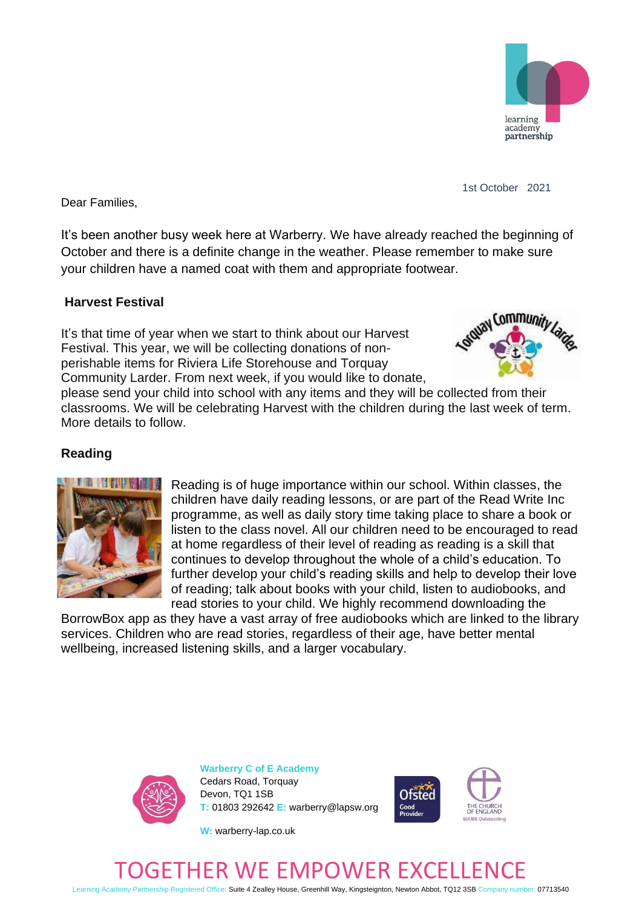

1st October 2021

Dear Families,

It's been another busy week here at Warberry. We have already reached the beginning of October and there is a definite change in the weather. Please remember to make sure your children have a named coat with them and appropriate footwear.

### **Harvest Festival**

It's that time of year when we start to think about our Harvest Festival. This year, we will be collecting donations of nonperishable items for Riviera Life Storehouse and Torquay Community Larder. From next week, if you would like to donate,



please send your child into school with any items and they will be collected from their classrooms. We will be celebrating Harvest with the children during the last week of term. More details to follow.

### **Reading**



Reading is of huge importance within our school. Within classes, the children have daily reading lessons, or are part of the Read Write Inc programme, as well as daily story time taking place to share a book or listen to the class novel. All our children need to be encouraged to read at home regardless of their level of reading as reading is a skill that continues to develop throughout the whole of a child's education. To further develop your child's reading skills and help to develop their love of reading; talk about books with your child, listen to audiobooks, and read stories to your child. We highly recommend downloading the

BorrowBox app as they have a vast array of free audiobooks which are linked to the library services. Children who are read stories, regardless of their age, have better mental wellbeing, increased listening skills, and a larger vocabulary.



**Warberry C of E Academy** Cedars Road, Torquay Devon, TQ1 1SB **T:** 01803 292642 **E:** warberry@lapsw.org



**W:** warberry-lap.co.uk

# ER WE EMPOWER EXC

Learning Academy Partnership Registered Office: Suite 4 Zealley House, Greenhill Way, Kingsteignton, Newton Abbot, TQ12 3SB Company number: 07713540